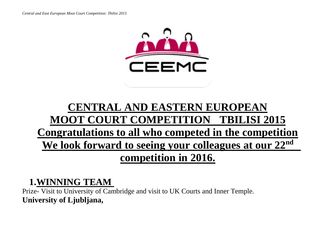

# **CENTRAL AND EASTERN EUROPEAN MOOT COURT COMPETITION TBILISI 2015 Congratulations to all who competed in the competition** We look forward to seeing your colleagues at our 22<sup>nd</sup> **competition in 2016.**

### **1.WINNING TEAM**

Prize- Visit to University of Cambridge and visit to UK Courts and Inner Temple. **University of Ljubljana,**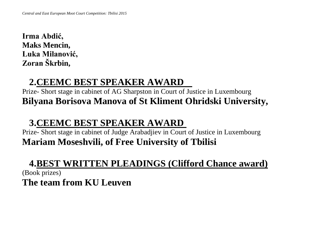**Irma Abdić, Maks Mencin, Luka Milanović, Zoran Škrbin,**

## **2.CEEMC BEST SPEAKER AWARD**

Prize- Short stage in cabinet of AG Sharpston in Court of Justice in Luxembourg **Bilyana Borisova Manova of St Kliment Ohridski University,** 

# **3.CEEMC BEST SPEAKER AWARD**

Prize- Short stage in cabinet of Judge Arabadjiev in Court of Justice in Luxembourg **Mariam Moseshvili, of Free University of Tbilisi**

#### **4.BEST WRITTEN PLEADINGS (Clifford Chance award)**

(Book prizes) **The team from KU Leuven**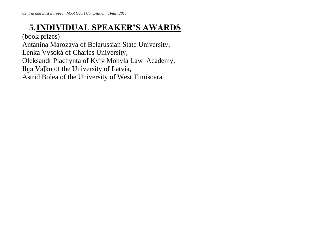### **5.INDIVIDUAL SPEAKER'S AWARDS**

(book prizes)

Antanina Marozava of Belarussian State University,

Lenka Vysoká of Charles University,

Oleksandr Plachynta of Kyiv Mohyla Law Academy,

Ilga Vaļko of the University of Latvia,

Astrid Bolea of the University of West Timisoara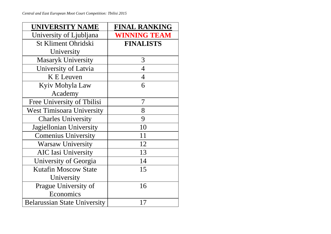| <b>UNIVERSITY NAME</b>              | <b>FINAL RANKING</b> |  |  |  |  |
|-------------------------------------|----------------------|--|--|--|--|
| University of Ljubljana             | <b>WINNING TEAM</b>  |  |  |  |  |
| St Kliment Ohridski                 | <b>FINALISTS</b>     |  |  |  |  |
| University                          |                      |  |  |  |  |
| <b>Masaryk University</b>           | 3                    |  |  |  |  |
| University of Latvia                | $\overline{4}$       |  |  |  |  |
| <b>K</b> E Leuven                   | $\overline{4}$       |  |  |  |  |
| Kyiv Mohyla Law                     | 6                    |  |  |  |  |
| Academy                             |                      |  |  |  |  |
| Free University of Tbilisi          | 7                    |  |  |  |  |
| <b>West Timisoara University</b>    | 8                    |  |  |  |  |
| <b>Charles University</b>           | 9                    |  |  |  |  |
| Jagiellonian University             | 10                   |  |  |  |  |
| <b>Comenius University</b>          | 11                   |  |  |  |  |
| <b>Warsaw University</b>            | 12                   |  |  |  |  |
| <b>AIC Iasi University</b>          | 13                   |  |  |  |  |
| University of Georgia               | 14                   |  |  |  |  |
| <b>Kutafin Moscow State</b>         | 15                   |  |  |  |  |
| University                          |                      |  |  |  |  |
| Prague University of                | 16                   |  |  |  |  |
| Economics                           |                      |  |  |  |  |
| <b>Belarussian State University</b> | 17                   |  |  |  |  |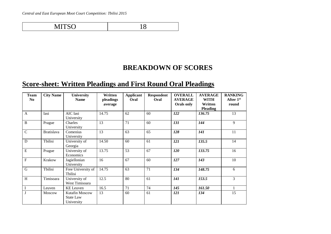MITSO 18

**BREAKDOWN OF SCORES**

#### **Score-sheet: Written Pleadings and First Round Oral Pleadings**

| <b>Team</b><br>N <sub>0</sub> | <b>City Name</b> | University<br><b>Name</b>                 | Written<br>pleadings<br>average | <b>Applicant</b><br>Oral | <b>Respondent</b><br>Oral | <b>OVERALL</b><br><b>AVERAGE</b><br>Orals only | <b>AVERAGE</b><br><b>WITH</b><br>Written | <b>RANKING</b><br>After 1st<br>round |
|-------------------------------|------------------|-------------------------------------------|---------------------------------|--------------------------|---------------------------|------------------------------------------------|------------------------------------------|--------------------------------------|
|                               |                  |                                           |                                 |                          |                           |                                                | <b>Pleading</b>                          |                                      |
| $\mathbf{A}$                  | Iasi             | AIC Iasi<br>University                    | 14.75                           | 62                       | 60                        | 122                                            | 136.75                                   | 13                                   |
| $\, {\bf B}$                  | Prague           | Charles<br>University                     | 13                              | 71                       | 60                        | 131                                            | 144                                      | 9                                    |
| $\mathbf C$                   | Bratislava       | Comenius<br>University                    | 13                              | 63                       | 65                        | 128                                            | 141                                      | 11                                   |
| ${\bf D}$                     | Tbilisi          | University of<br>Georgia                  | 14.50                           | 60                       | 61                        | 121                                            | 135.5                                    | 14                                   |
| ${\bf E}$                     | Prague           | University of<br>Economics                | 13.75                           | 53                       | 67                        | 120                                            | 133.75                                   | 16                                   |
| $\overline{F}$                | Krakow           | Jagiellonian<br>University                | 16                              | 67                       | 60                        | 127                                            | 143                                      | 10                                   |
| ${\bf G}$                     | Tbilisi          | Free University of<br>Tbilisi             | 14.75                           | 63                       | 71                        | 134                                            | 148.75                                   | 6                                    |
| $\boldsymbol{\mathrm{H}}$     | Timisoara        | University of<br>West Timisoara           | 12.5                            | 80                       | 61                        | 141                                            | 153.5                                    | 3                                    |
| $\bf I$                       | Leuven           | <b>KE</b> Leuven                          | 16.5                            | 71                       | 74                        | 145                                            | 161.50                                   | 1                                    |
|                               | Moscow           | Kutafin Moscow<br>State Law<br>University | 13                              | 60                       | 61                        | 121                                            | 134                                      | 15                                   |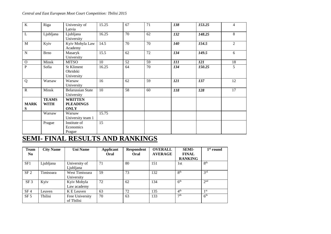| $\bf K$        | Riga         | University of            | 15.25 | 67 | 71 | 138        | 153.25 | $\overline{4}$ |
|----------------|--------------|--------------------------|-------|----|----|------------|--------|----------------|
|                |              | Latvia                   |       |    |    |            |        |                |
| $\mathbf L$    | Ljubljana    | Ljubljana                | 16.25 | 70 | 62 | 132        | 148.25 | 8              |
|                |              | University               |       |    |    |            |        |                |
| $\mathbf{M}$   | Kyiv         | Kyiv Mohyla Law          | 14.5  | 70 | 70 | <b>140</b> | 154.5  | 2              |
|                |              | Academy                  |       |    |    |            |        |                |
| ${\bf N}$      | <b>Brno</b>  | Masaryk                  | 15.5  | 62 | 72 | 134        | 149.5  | 6              |
|                |              | University               |       |    |    |            |        |                |
| $\mathbf O$    | Minsk        | <b>MITSO</b>             | 10    | 52 | 59 | 111        | 121    | 18             |
| $\overline{P}$ | Sofia        | St Kliment               | 16.25 | 64 | 70 | 134        | 150.25 | 5              |
|                |              | Ohridski                 |       |    |    |            |        |                |
|                |              | University               |       |    |    |            |        |                |
| Q              | Warsaw       | Warsaw                   | 16    | 62 | 59 | 121        | 137    | 12             |
|                |              | University               |       |    |    |            |        |                |
| $\mathbf R$    | Minsk        | <b>Belarussian State</b> | 10    | 58 | 60 | 118        | 128    | 17             |
|                |              | University               |       |    |    |            |        |                |
|                | <b>TEAMS</b> | <b>WRITTEN</b>           |       |    |    |            |        |                |
| <b>MARK</b>    | <b>WITH</b>  | <b>PLEADINGS</b>         |       |    |    |            |        |                |
| ${\bf S}$      |              | <b>ONLY</b>              |       |    |    |            |        |                |
|                | Warsaw       | Warsaw                   | 15.75 |    |    |            |        |                |
|                |              | University team 1        |       |    |    |            |        |                |
|                | Prague       | Institute of             | 15    |    |    |            |        |                |
|                |              | Economics                |       |    |    |            |        |                |
|                |              | Prague                   |       |    |    |            |        |                |

#### **SEMI- FINAL RESULTS AND RANKINGS**

| <b>Team</b>     | <b>City Name</b> | <b>Uni Name</b> | <b>Applicant</b> | <b>Respondent</b> | <b>OVERALL</b> | <b>SEMI-</b>    | $1st$ round     |
|-----------------|------------------|-----------------|------------------|-------------------|----------------|-----------------|-----------------|
| N <sub>0</sub>  |                  |                 | Oral             | Oral              | <b>AVERAGE</b> | <b>FINAL</b>    |                 |
|                 |                  |                 |                  |                   |                | <b>RANKING</b>  |                 |
| SF1             | Ljubljana        | University of   | 71               | 80                | 151            | 1st             | 8 <sup>th</sup> |
|                 |                  | Ljubljana       |                  |                   |                |                 |                 |
| SF <sub>2</sub> | Timisoara        | West Timisoara  | 59               | 73                | 132            | 8 <sup>th</sup> | 3 <sup>rd</sup> |
|                 |                  | University      |                  |                   |                |                 |                 |
| SF <sub>3</sub> | Kyiv             | Kyiv Mohyla     | 72               | 62                | 134            | 6 <sup>th</sup> | 2 <sup>nd</sup> |
|                 |                  | Law academy     |                  |                   |                |                 |                 |
| SF <sub>4</sub> | Leuven           | K E Leuven      | 63               | 72                | 135            | 4 <sup>th</sup> | 1 <sub>st</sub> |
| SF <sub>5</sub> | Tbilisi          | Free University | 70               | 63                | 133            | 7 <sup>th</sup> | 6 <sup>th</sup> |
|                 |                  | of Tbilisi      |                  |                   |                |                 |                 |